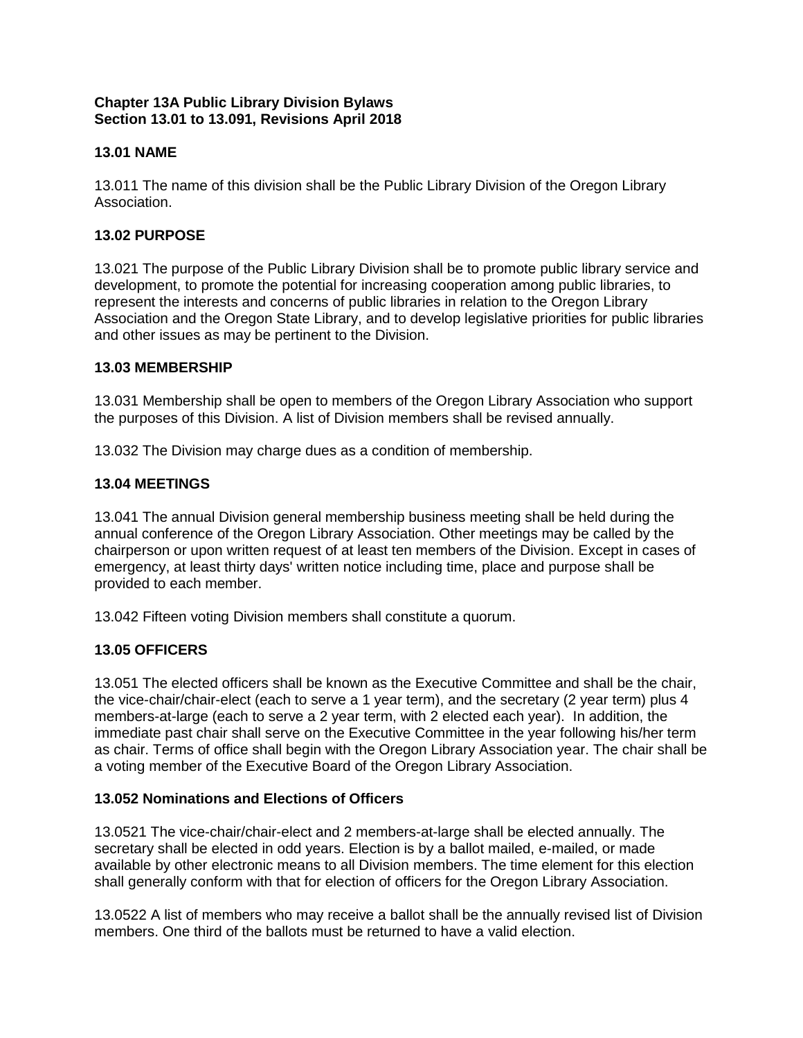## **Chapter 13A Public Library Division Bylaws Section 13.01 to 13.091, Revisions April 2018**

# **13.01 NAME**

13.011 The name of this division shall be the Public Library Division of the Oregon Library Association.

## **13.02 PURPOSE**

13.021 The purpose of the Public Library Division shall be to promote public library service and development, to promote the potential for increasing cooperation among public libraries, to represent the interests and concerns of public libraries in relation to the Oregon Library Association and the Oregon State Library, and to develop legislative priorities for public libraries and other issues as may be pertinent to the Division.

### **13.03 MEMBERSHIP**

13.031 Membership shall be open to members of the Oregon Library Association who support the purposes of this Division. A list of Division members shall be revised annually.

13.032 The Division may charge dues as a condition of membership.

## **13.04 MEETINGS**

13.041 The annual Division general membership business meeting shall be held during the annual conference of the Oregon Library Association. Other meetings may be called by the chairperson or upon written request of at least ten members of the Division. Except in cases of emergency, at least thirty days' written notice including time, place and purpose shall be provided to each member.

13.042 Fifteen voting Division members shall constitute a quorum.

## **13.05 OFFICERS**

13.051 The elected officers shall be known as the Executive Committee and shall be the chair, the vice-chair/chair-elect (each to serve a 1 year term), and the secretary (2 year term) plus 4 members-at-large (each to serve a 2 year term, with 2 elected each year). In addition, the immediate past chair shall serve on the Executive Committee in the year following his/her term as chair. Terms of office shall begin with the Oregon Library Association year. The chair shall be a voting member of the Executive Board of the Oregon Library Association.

## **13.052 Nominations and Elections of Officers**

13.0521 The vice-chair/chair-elect and 2 members-at-large shall be elected annually. The secretary shall be elected in odd years. Election is by a ballot mailed, e-mailed, or made available by other electronic means to all Division members. The time element for this election shall generally conform with that for election of officers for the Oregon Library Association.

13.0522 A list of members who may receive a ballot shall be the annually revised list of Division members. One third of the ballots must be returned to have a valid election.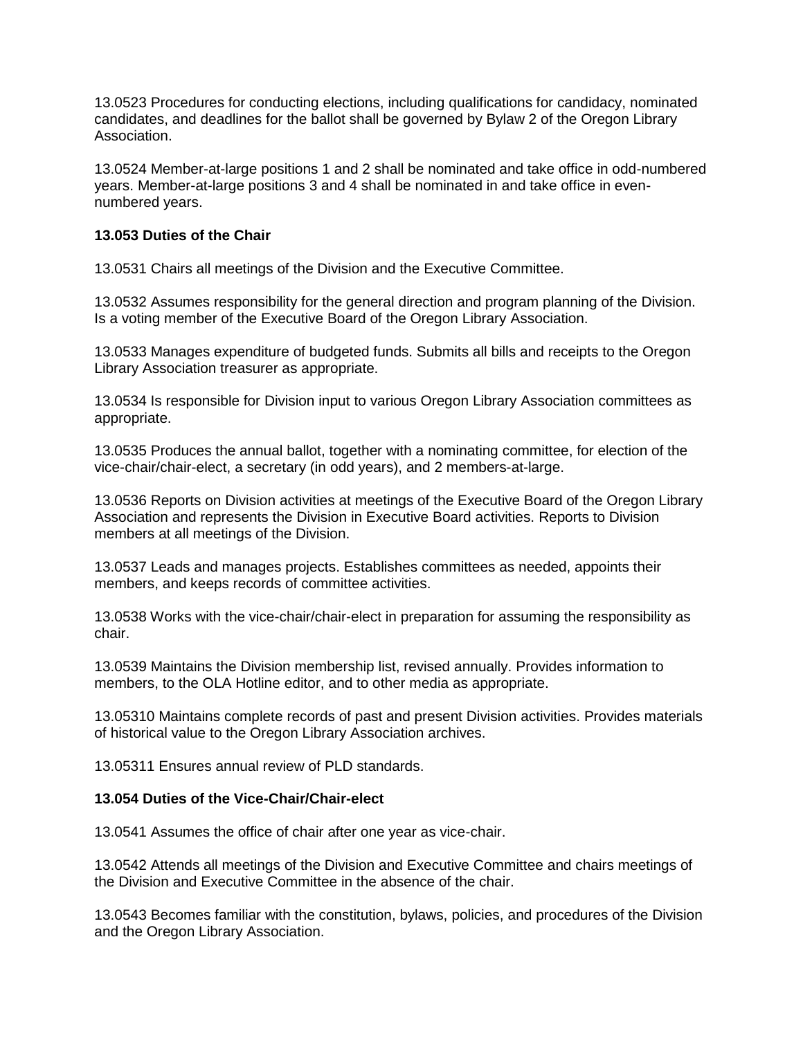13.0523 Procedures for conducting elections, including qualifications for candidacy, nominated candidates, and deadlines for the ballot shall be governed by Bylaw 2 of the Oregon Library Association.

13.0524 Member-at-large positions 1 and 2 shall be nominated and take office in odd-numbered years. Member-at-large positions 3 and 4 shall be nominated in and take office in evennumbered years.

### **13.053 Duties of the Chair**

13.0531 Chairs all meetings of the Division and the Executive Committee.

13.0532 Assumes responsibility for the general direction and program planning of the Division. Is a voting member of the Executive Board of the Oregon Library Association.

13.0533 Manages expenditure of budgeted funds. Submits all bills and receipts to the Oregon Library Association treasurer as appropriate.

13.0534 Is responsible for Division input to various Oregon Library Association committees as appropriate.

13.0535 Produces the annual ballot, together with a nominating committee, for election of the vice-chair/chair-elect, a secretary (in odd years), and 2 members-at-large.

13.0536 Reports on Division activities at meetings of the Executive Board of the Oregon Library Association and represents the Division in Executive Board activities. Reports to Division members at all meetings of the Division.

13.0537 Leads and manages projects. Establishes committees as needed, appoints their members, and keeps records of committee activities.

13.0538 Works with the vice-chair/chair-elect in preparation for assuming the responsibility as chair.

13.0539 Maintains the Division membership list, revised annually. Provides information to members, to the OLA Hotline editor, and to other media as appropriate.

13.05310 Maintains complete records of past and present Division activities. Provides materials of historical value to the Oregon Library Association archives.

13.05311 Ensures annual review of PLD standards.

#### **13.054 Duties of the Vice-Chair/Chair-elect**

13.0541 Assumes the office of chair after one year as vice-chair.

13.0542 Attends all meetings of the Division and Executive Committee and chairs meetings of the Division and Executive Committee in the absence of the chair.

13.0543 Becomes familiar with the constitution, bylaws, policies, and procedures of the Division and the Oregon Library Association.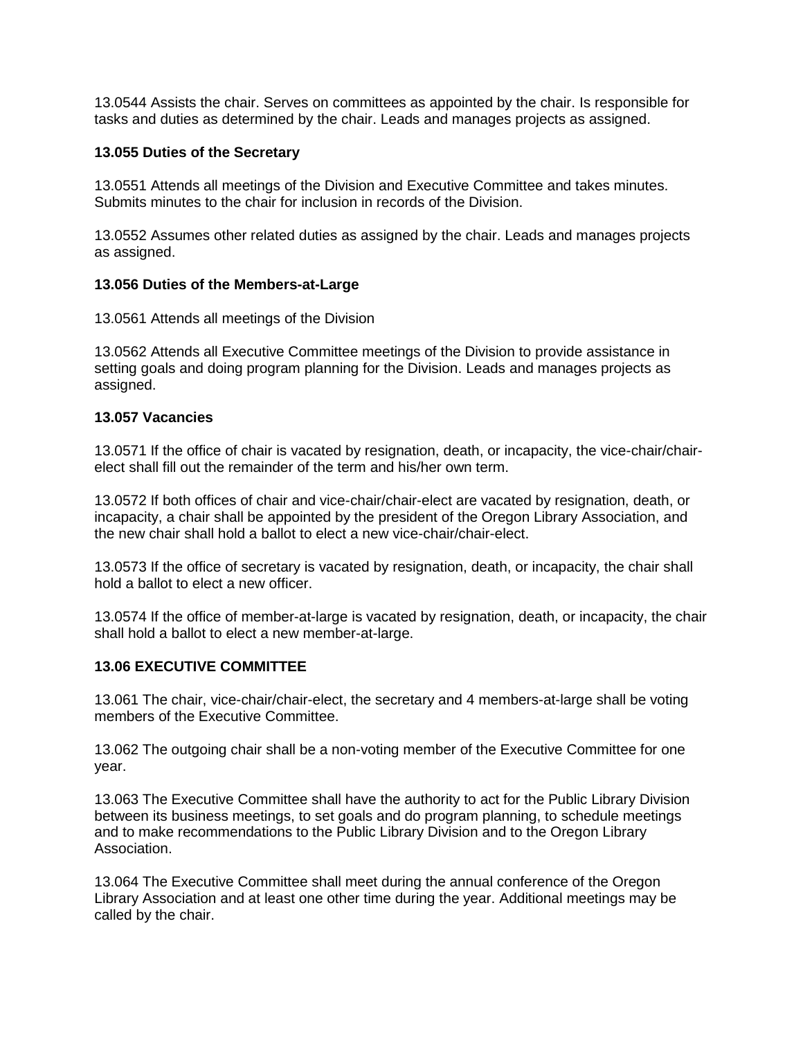13.0544 Assists the chair. Serves on committees as appointed by the chair. Is responsible for tasks and duties as determined by the chair. Leads and manages projects as assigned.

### **13.055 Duties of the Secretary**

13.0551 Attends all meetings of the Division and Executive Committee and takes minutes. Submits minutes to the chair for inclusion in records of the Division.

13.0552 Assumes other related duties as assigned by the chair. Leads and manages projects as assigned.

#### **13.056 Duties of the Members-at-Large**

13.0561 Attends all meetings of the Division

13.0562 Attends all Executive Committee meetings of the Division to provide assistance in setting goals and doing program planning for the Division. Leads and manages projects as assigned.

#### **13.057 Vacancies**

13.0571 If the office of chair is vacated by resignation, death, or incapacity, the vice-chair/chairelect shall fill out the remainder of the term and his/her own term.

13.0572 If both offices of chair and vice-chair/chair-elect are vacated by resignation, death, or incapacity, a chair shall be appointed by the president of the Oregon Library Association, and the new chair shall hold a ballot to elect a new vice-chair/chair-elect.

13.0573 If the office of secretary is vacated by resignation, death, or incapacity, the chair shall hold a ballot to elect a new officer.

13.0574 If the office of member-at-large is vacated by resignation, death, or incapacity, the chair shall hold a ballot to elect a new member-at-large.

#### **13.06 EXECUTIVE COMMITTEE**

13.061 The chair, vice-chair/chair-elect, the secretary and 4 members-at-large shall be voting members of the Executive Committee.

13.062 The outgoing chair shall be a non-voting member of the Executive Committee for one year.

13.063 The Executive Committee shall have the authority to act for the Public Library Division between its business meetings, to set goals and do program planning, to schedule meetings and to make recommendations to the Public Library Division and to the Oregon Library Association.

13.064 The Executive Committee shall meet during the annual conference of the Oregon Library Association and at least one other time during the year. Additional meetings may be called by the chair.